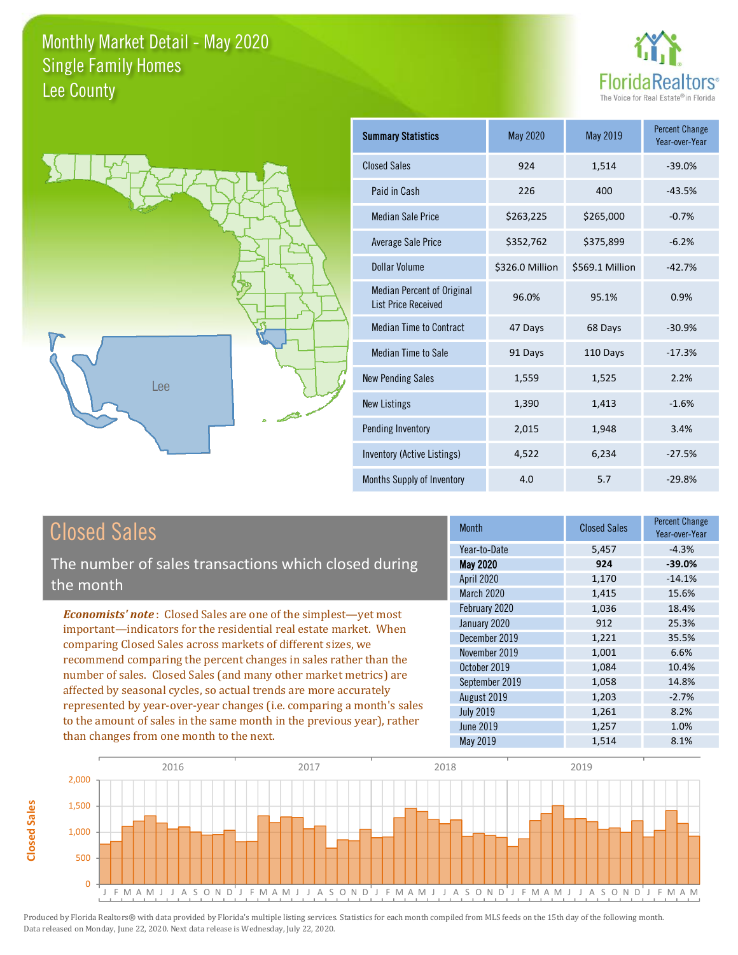



| <b>Summary Statistics</b>                                       | May 2020        | May 2019        | <b>Percent Change</b><br>Year-over-Year |
|-----------------------------------------------------------------|-----------------|-----------------|-----------------------------------------|
| <b>Closed Sales</b>                                             | 924             | 1,514           | $-39.0%$                                |
| Paid in Cash                                                    | 226             | 400             | $-43.5%$                                |
| Median Sale Price                                               | \$263,225       | \$265,000       | $-0.7%$                                 |
| <b>Average Sale Price</b>                                       | \$352,762       | \$375,899       | $-6.2%$                                 |
| Dollar Volume                                                   | \$326.0 Million | \$569.1 Million | $-42.7%$                                |
| <b>Median Percent of Original</b><br><b>List Price Received</b> | 96.0%           | 95.1%           | 0.9%                                    |
| <b>Median Time to Contract</b>                                  | 47 Days         | 68 Days         | $-30.9%$                                |
| Median Time to Sale                                             | 91 Days         | 110 Days        | $-17.3%$                                |
| <b>New Pending Sales</b>                                        | 1,559           | 1,525           | 2.2%                                    |
| <b>New Listings</b>                                             | 1,390           | 1,413           | $-1.6%$                                 |
| Pending Inventory                                               | 2,015           | 1,948           | 3.4%                                    |
| Inventory (Active Listings)                                     | 4,522           | 6,234           | $-27.5%$                                |
| Months Supply of Inventory                                      | 4.0             | 5.7             | $-29.8%$                                |

## **Closed Sales**

The number of sales transactions which closed during the month

**Economists' note:** Closed Sales are one of the simplest-yet most important-indicators for the residential real estate market. When comparing Closed Sales across markets of different sizes, we recommend comparing the percent changes in sales rather than the number of sales. Closed Sales (and many other market metrics) are affected by seasonal cycles, so actual trends are more accurately represented by year-over-year changes (i.e. comparing a month's sales to the amount of sales in the same month in the previous year), rather than changes from one month to the next.

| <b>Month</b>      | <b>Closed Sales</b> | Percent Change<br>Year-over-Year |
|-------------------|---------------------|----------------------------------|
| Year-to-Date      | 5,457               | $-4.3%$                          |
| May 2020          | 924                 | $-39.0%$                         |
| <b>April 2020</b> | 1,170               | $-14.1%$                         |
| March 2020        | 1,415               | 15.6%                            |
| February 2020     | 1,036               | 18.4%                            |
| January 2020      | 912                 | 25.3%                            |
| December 2019     | 1,221               | 35.5%                            |
| November 2019     | 1,001               | 6.6%                             |
| October 2019      | 1,084               | 10.4%                            |
| September 2019    | 1,058               | 14.8%                            |
| August 2019       | 1,203               | $-2.7%$                          |
| <b>July 2019</b>  | 1,261               | 8.2%                             |
| <b>June 2019</b>  | 1,257               | 1.0%                             |
| May 2019          | 1,514               | 8.1%                             |

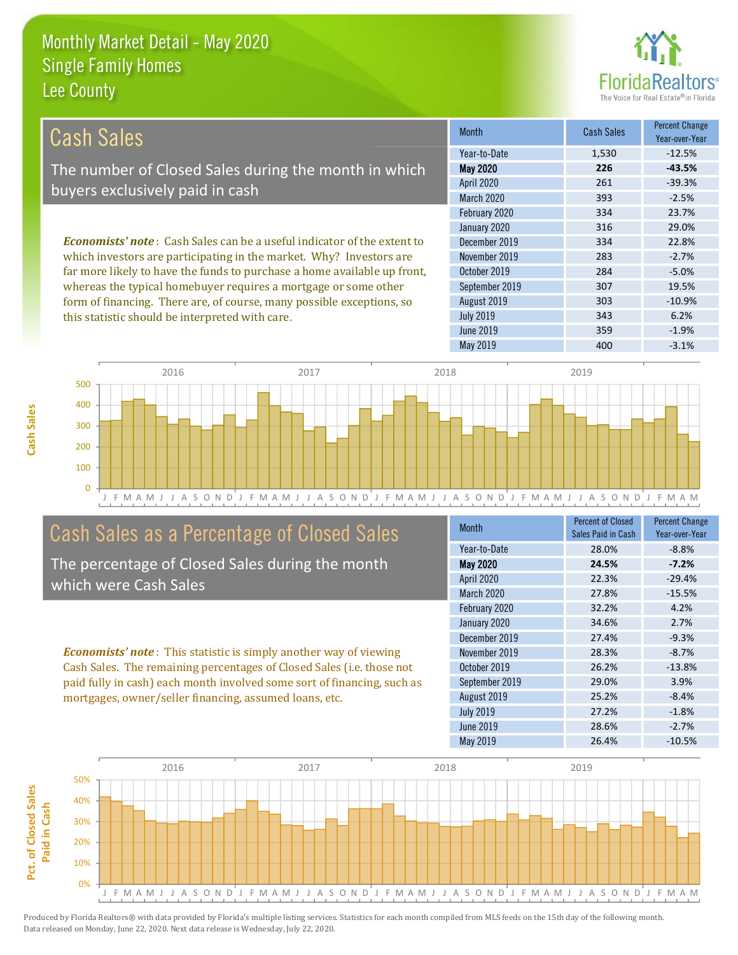this statistic should be interpreted with care.



6.2%

 $-1.9%$ 

 $-3.1%$ 

| Cash Sales                                                                      | <b>Month</b>      | <b>Cash Sales</b> | <b>Percent Change</b><br>Year-over-Year |
|---------------------------------------------------------------------------------|-------------------|-------------------|-----------------------------------------|
|                                                                                 | Year-to-Date      | 1,530             | $-12.5%$                                |
| The number of Closed Sales during the month in which                            | <b>May 2020</b>   | 226               | $-43.5%$                                |
| buyers exclusively paid in cash                                                 | April 2020        | 261               | $-39.3%$                                |
|                                                                                 | <b>March 2020</b> | 393               | $-2.5%$                                 |
|                                                                                 | February 2020     | 334               | 23.7%                                   |
|                                                                                 | January 2020      | 316               | 29.0%                                   |
| <b>Economists' note</b> : Cash Sales can be a useful indicator of the extent to | December 2019     | 334               | 22.8%                                   |
| which investors are participating in the market. Why? Investors are             | November 2019     | 283               | $-2.7%$                                 |
| far more likely to have the funds to purchase a home available up front,        | October 2019      | 284               | $-5.0%$                                 |
| whereas the typical homebuyer requires a mortgage or some other                 | September 2019    | 307               | 19.5%                                   |
| form of financing. There are, of course, many possible exceptions, so           | August 2019       | 303               | $-10.9%$                                |

**July 2019** 

**June 2019** 

May 2019



## Cash Sales as a Percentage of Closed Sales

The percentage of Closed Sales during the month which were Cash Sales

**Economists' note:** This statistic is simply another way of viewing Cash Sales. The remaining percentages of Closed Sales (i.e. those not paid fully in cash) each month involved some sort of financing, such as mortgages, owner/seller financing, assumed loans, etc.

| <b>Month</b>     | <b>Percent of Closed</b><br>Sales Paid in Cash | <b>Percent Change</b><br>Year-over-Year |
|------------------|------------------------------------------------|-----------------------------------------|
| Year-to-Date     | 28.0%                                          | $-8.8%$                                 |
| <b>May 2020</b>  | 24.5%                                          | $-7.2%$                                 |
| April 2020       | 22.3%                                          | $-29.4%$                                |
| March 2020       | 27.8%                                          | $-15.5%$                                |
| February 2020    | 32.2%                                          | 4.2%                                    |
| January 2020     | 34.6%                                          | 2.7%                                    |
| December 2019    | 27.4%                                          | $-9.3%$                                 |
| November 2019    | 28.3%                                          | $-8.7%$                                 |
| October 2019     | 26.2%                                          | $-13.8%$                                |
| September 2019   | 29.0%                                          | 3.9%                                    |
| August 2019      | 25.2%                                          | $-8.4%$                                 |
| <b>July 2019</b> | 27.2%                                          | $-1.8%$                                 |
| <b>June 2019</b> | 28.6%                                          | $-2.7%$                                 |
| May 2019         | 26.4%                                          | $-10.5%$                                |

343

359

400



Cash Sales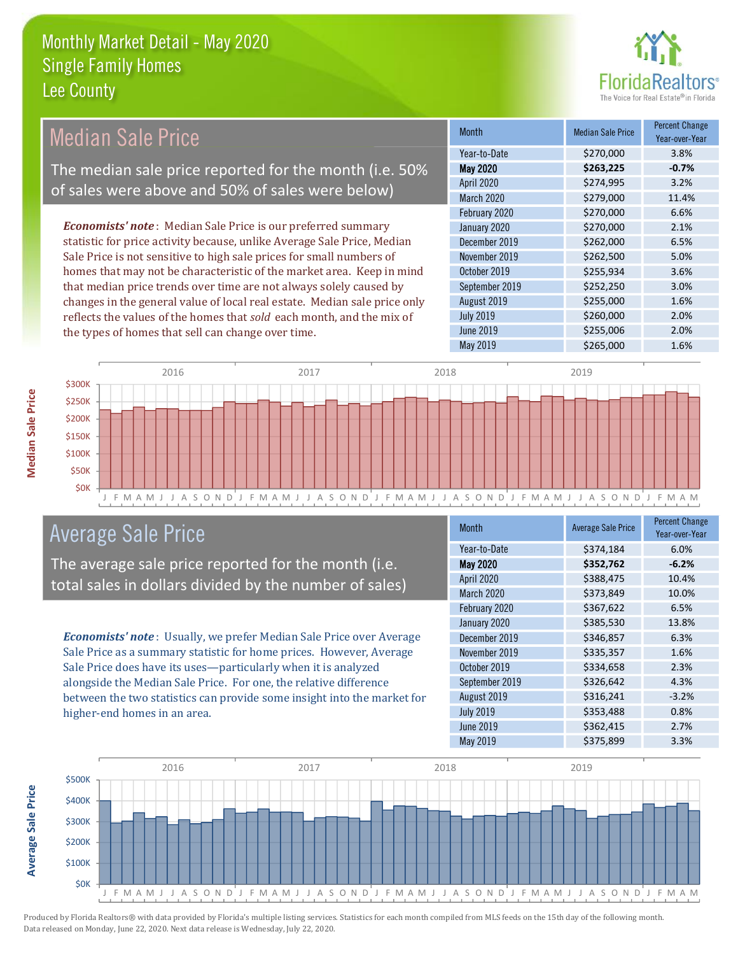

#### **Percent Change Median Sale Price Median Sale Price Month** Year-over-Year Year-to-Date \$270,000 3.8% The median sale price reported for the month (i.e. 50% **May 2020**  $-0.7%$ \$263,225 **April 2020**  $3.2%$ \$274,995 of sales were above and 50% of sales were below) **March 2020** \$279,000 11.4% February 2020 \$270,000 6.6% **Economists' note**: Median Sale Price is our preferred summary \$270,000 2.1% January 2020 statistic for price activity because, unlike Average Sale Price, Median December 2019 6.5% \$262,000 Sale Price is not sensitive to high sale prices for small numbers of November 2019 \$262,500 5.0% homes that may not be characteristic of the market area. Keep in mind October 2019 \$255,934 3.6% that median price trends over time are not always solely caused by September 2019 \$252,250 3.0% 1.6% changes in the general value of local real estate. Median sale price only August 2019 \$255,000 reflects the values of the homes that sold each month, and the mix of **July 2019** \$260,000 2.0% **June 2019** \$255,006 2.0% the types of homes that sell can change over time. **May 2019** \$265,000 1.6%



## **Average Sale Price**

The average sale price reported for the month (i.e. total sales in dollars divided by the number of sales)

Economists' note: Usually, we prefer Median Sale Price over Average Sale Price as a summary statistic for home prices. However, Average Sale Price does have its uses-particularly when it is analyzed alongside the Median Sale Price. For one, the relative difference between the two statistics can provide some insight into the market for higher-end homes in an area.

| <b>Month</b>      | <b>Average Sale Price</b> | <b>Percent Change</b><br>Year-over-Year |
|-------------------|---------------------------|-----------------------------------------|
| Year-to-Date      | \$374,184                 | 6.0%                                    |
| <b>May 2020</b>   | \$352,762                 | $-6.2%$                                 |
| April 2020        | \$388,475                 | 10.4%                                   |
| <b>March 2020</b> | \$373,849                 | 10.0%                                   |
| February 2020     | \$367,622                 | 6.5%                                    |
| January 2020      | \$385,530                 | 13.8%                                   |
| December 2019     | \$346,857                 | 6.3%                                    |
| November 2019     | \$335,357                 | 1.6%                                    |
| October 2019      | \$334,658                 | 2.3%                                    |
| September 2019    | \$326,642                 | 4.3%                                    |
| August 2019       | \$316,241                 | $-3.2%$                                 |
| <b>July 2019</b>  | \$353,488                 | 0.8%                                    |
| <b>June 2019</b>  | \$362,415                 | 2.7%                                    |
| <b>May 2019</b>   | \$375,899                 | 3.3%                                    |

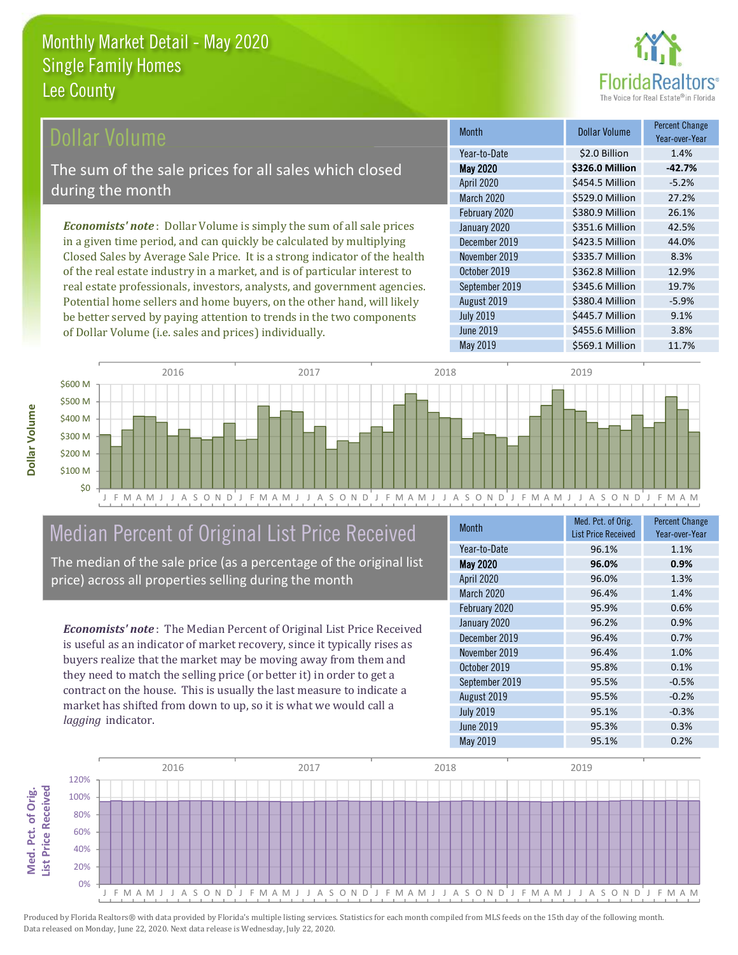

### **Ollar Volume**

The sum of the sale prices for all sales which closed during the month

**Economists' note**: Dollar Volume is simply the sum of all sale prices in a given time period, and can quickly be calculated by multiplying Closed Sales by Average Sale Price. It is a strong indicator of the health of the real estate industry in a market, and is of particular interest to real estate professionals, investors, analysts, and government agencies. Potential home sellers and home buyers, on the other hand, will likely be better served by paying attention to trends in the two components of Dollar Volume (i.e. sales and prices) individually.

| <b>Month</b>     | Dollar Volume   | <b>Percent Change</b><br>Year-over-Year |
|------------------|-----------------|-----------------------------------------|
| Year-to-Date     | \$2.0 Billion   | 1.4%                                    |
| <b>May 2020</b>  | \$326.0 Million | $-42.7%$                                |
| April 2020       | \$454.5 Million | $-5.2%$                                 |
| March 2020       | \$529.0 Million | 27.2%                                   |
| February 2020    | \$380.9 Million | 26.1%                                   |
| January 2020     | \$351.6 Million | 42.5%                                   |
| December 2019    | \$423.5 Million | 44.0%                                   |
| November 2019    | \$335.7 Million | 8.3%                                    |
| October 2019     | \$362.8 Million | 12.9%                                   |
| September 2019   | \$345.6 Million | 19.7%                                   |
| August 2019      | \$380.4 Million | $-5.9%$                                 |
| <b>July 2019</b> | \$445.7 Million | 9.1%                                    |
| <b>June 2019</b> | \$455.6 Million | 3.8%                                    |
| May 2019         | \$569.1 Million | 11.7%                                   |



# Median Percent of Original List Price Received

The median of the sale price (as a percentage of the original list price) across all properties selling during the month

**Economists' note:** The Median Percent of Original List Price Received is useful as an indicator of market recovery, since it typically rises as buyers realize that the market may be moving away from them and they need to match the selling price (or better it) in order to get a contract on the house. This is usually the last measure to indicate a market has shifted from down to up, so it is what we would call a lagging indicator.

| <b>Month</b>      | Med. Pct. of Orig.<br><b>List Price Received</b> | <b>Percent Change</b><br>Year-over-Year |
|-------------------|--------------------------------------------------|-----------------------------------------|
| Year-to-Date      | 96.1%                                            | 1.1%                                    |
| <b>May 2020</b>   | 96.0%                                            | 0.9%                                    |
| April 2020        | 96.0%                                            | 1.3%                                    |
| <b>March 2020</b> | 96.4%                                            | 1.4%                                    |
| February 2020     | 95.9%                                            | 0.6%                                    |
| January 2020      | 96.2%                                            | 0.9%                                    |
| December 2019     | 96.4%                                            | 0.7%                                    |
| November 2019     | 96.4%                                            | 1.0%                                    |
| October 2019      | 95.8%                                            | 0.1%                                    |
| September 2019    | 95.5%                                            | $-0.5%$                                 |
| August 2019       | 95.5%                                            | $-0.2%$                                 |
| <b>July 2019</b>  | 95.1%                                            | $-0.3%$                                 |
| <b>June 2019</b>  | 95.3%                                            | 0.3%                                    |
| May 2019          | 95.1%                                            | 0.2%                                    |

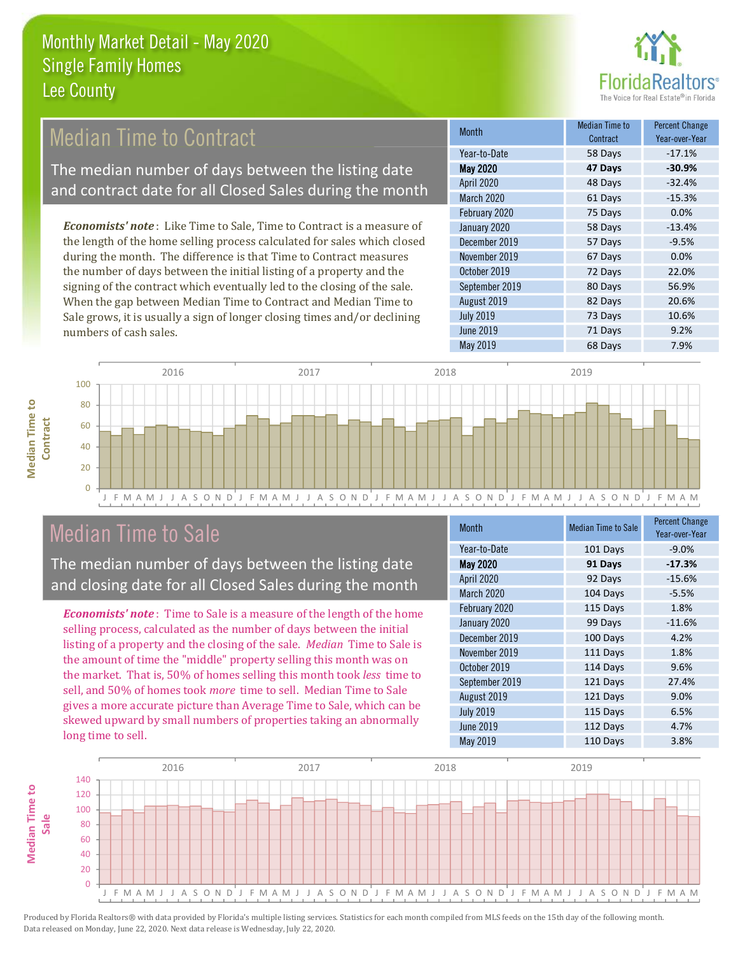

## **Median Time to Contract**

The median number of days between the listing date and contract date for all Closed Sales during the month

**Economists' note**: Like Time to Sale, Time to Contract is a measure of the length of the home selling process calculated for sales which closed during the month. The difference is that Time to Contract measures the number of days between the initial listing of a property and the signing of the contract which eventually led to the closing of the sale. When the gap between Median Time to Contract and Median Time to Sale grows, it is usually a sign of longer closing times and/or declining numbers of cash sales.

| <b>Month</b>     | <b>Median Time to</b><br>Contract | <b>Percent Change</b><br>Year-over-Year |
|------------------|-----------------------------------|-----------------------------------------|
| Year-to-Date     | 58 Days                           | $-17.1%$                                |
| <b>May 2020</b>  | 47 Days                           | $-30.9%$                                |
| April 2020       | 48 Days                           | $-32.4%$                                |
| March 2020       | 61 Days                           | $-15.3%$                                |
| February 2020    | 75 Days                           | 0.0%                                    |
| January 2020     | 58 Days                           | $-13.4%$                                |
| December 2019    | 57 Days                           | $-9.5%$                                 |
| November 2019    | 67 Days                           | 0.0%                                    |
| October 2019     | 72 Days                           | 22.0%                                   |
| September 2019   | 80 Days                           | 56.9%                                   |
| August 2019      | 82 Days                           | 20.6%                                   |
| <b>July 2019</b> | 73 Days                           | 10.6%                                   |
| <b>June 2019</b> | 71 Days                           | 9.2%                                    |
| May 2019         | 68 Days                           | 7.9%                                    |



## **Median Time to Sale**

**Median Time to** 

The median number of days between the listing date and closing date for all Closed Sales during the month

**Economists' note**: Time to Sale is a measure of the length of the home selling process, calculated as the number of days between the initial listing of a property and the closing of the sale. Median Time to Sale is the amount of time the "middle" property selling this month was on the market. That is, 50% of homes selling this month took less time to sell, and 50% of homes took *more* time to sell. Median Time to Sale gives a more accurate picture than Average Time to Sale, which can be skewed upward by small numbers of properties taking an abnormally long time to sell.

| <b>Month</b>     | <b>Median Time to Sale</b> | <b>Percent Change</b><br>Year-over-Year |
|------------------|----------------------------|-----------------------------------------|
| Year-to-Date     | 101 Days                   | $-9.0%$                                 |
| <b>May 2020</b>  | 91 Days                    | $-17.3%$                                |
| April 2020       | 92 Days                    | $-15.6%$                                |
| March 2020       | 104 Days                   | $-5.5%$                                 |
| February 2020    | 115 Days                   | 1.8%                                    |
| January 2020     | 99 Days                    | $-11.6%$                                |
| December 2019    | 100 Days                   | 4.2%                                    |
| November 2019    | 111 Days                   | 1.8%                                    |
| October 2019     | 114 Days                   | 9.6%                                    |
| September 2019   | 121 Days                   | 27.4%                                   |
| August 2019      | 121 Days                   | 9.0%                                    |
| <b>July 2019</b> | 115 Days                   | 6.5%                                    |
| <b>June 2019</b> | 112 Days                   | 4.7%                                    |
| May 2019         | 110 Days                   | 3.8%                                    |

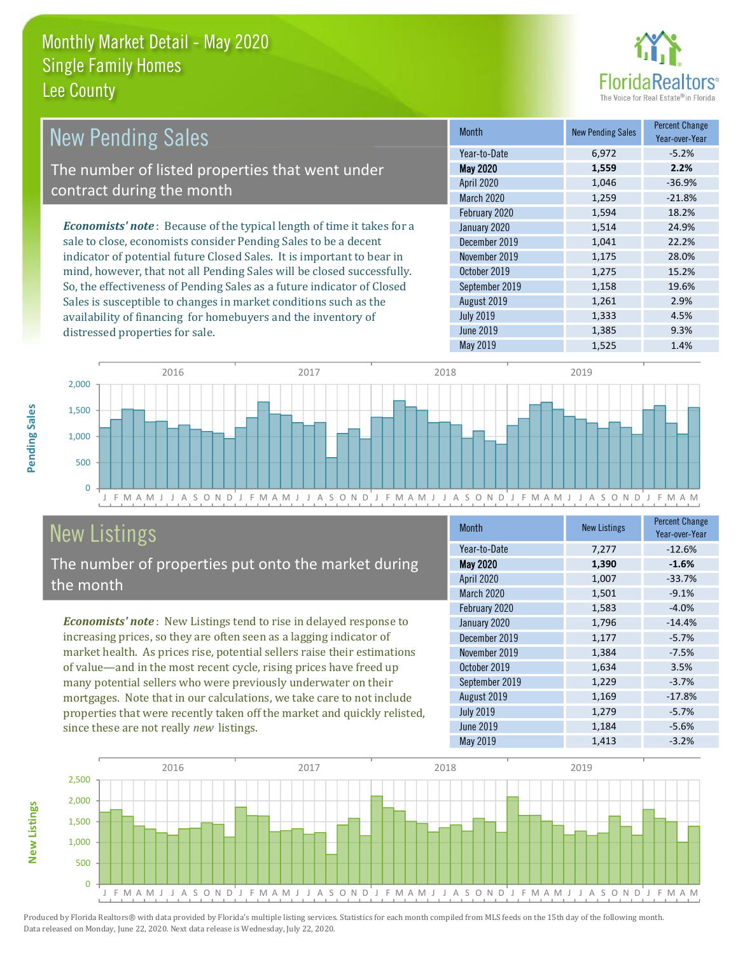distressed properties for sale.



4.5%

9.3%

| <b>New Pending Sales</b>                                                      | <b>Month</b>      | <b>New Pending Sales</b> | <b>Percent Change</b><br>Year-over-Year |
|-------------------------------------------------------------------------------|-------------------|--------------------------|-----------------------------------------|
|                                                                               | Year-to-Date      | 6.972                    | $-5.2%$                                 |
| The number of listed properties that went under                               | <b>May 2020</b>   | 1,559                    | 2.2%                                    |
| contract during the month                                                     | <b>April 2020</b> | 1,046                    | $-36.9%$                                |
|                                                                               | <b>March 2020</b> | 1,259                    | $-21.8%$                                |
|                                                                               | February 2020     | 1,594                    | 18.2%                                   |
| <b>Economists' note:</b> Because of the typical length of time it takes for a | January 2020      | 1,514                    | 24.9%                                   |
| sale to close, economists consider Pending Sales to be a decent               | December 2019     | 1,041                    | 22.2%                                   |
| indicator of potential future Closed Sales. It is important to bear in        | November 2019     | 1,175                    | 28.0%                                   |
| mind, however, that not all Pending Sales will be closed successfully.        | October 2019      | 1,275                    | 15.2%                                   |
| So, the effectiveness of Pending Sales as a future indicator of Closed        | September 2019    | 1,158                    | 19.6%                                   |
| Sales is susceptible to changes in market conditions such as the              | August 2019       | 1,261                    | 2.9%                                    |

**July 2019** 

**June 2019** 



# **New Listings**

The number of properties put onto the market during the month

availability of financing for homebuyers and the inventory of

Economists' note: New Listings tend to rise in delayed response to increasing prices, so they are often seen as a lagging indicator of market health. As prices rise, potential sellers raise their estimations of value—and in the most recent cycle, rising prices have freed up many potential sellers who were previously underwater on their mortgages. Note that in our calculations, we take care to not include properties that were recently taken off the market and quickly relisted, since these are not really new listings.

| <b>Month</b>      | <b>New Listings</b> | <b>Percent Change</b><br>Year-over-Year |
|-------------------|---------------------|-----------------------------------------|
| Year-to-Date      | 7,277               | $-12.6%$                                |
| <b>May 2020</b>   | 1,390               | $-1.6%$                                 |
| <b>April 2020</b> | 1,007               | $-33.7%$                                |
| March 2020        | 1,501               | $-9.1%$                                 |
| February 2020     | 1,583               | $-4.0%$                                 |
| January 2020      | 1,796               | $-14.4%$                                |
| December 2019     | 1,177               | $-5.7%$                                 |
| November 2019     | 1,384               | $-7.5%$                                 |
| October 2019      | 1,634               | 3.5%                                    |
| September 2019    | 1,229               | $-3.7%$                                 |
| August 2019       | 1,169               | $-17.8%$                                |
| <b>July 2019</b>  | 1,279               | $-5.7%$                                 |
| <b>June 2019</b>  | 1,184               | $-5.6%$                                 |
| May 2019          | 1,413               | $-3.2%$                                 |

1.333

1,385



Produced by Florida Realtors® with data provided by Florida's multiple listing services. Statistics for each month compiled from MLS feeds on the 15th day of the following month. Data released on Monday, June 22, 2020. Next data release is Wednesday, July 22, 2020.

**New Listings**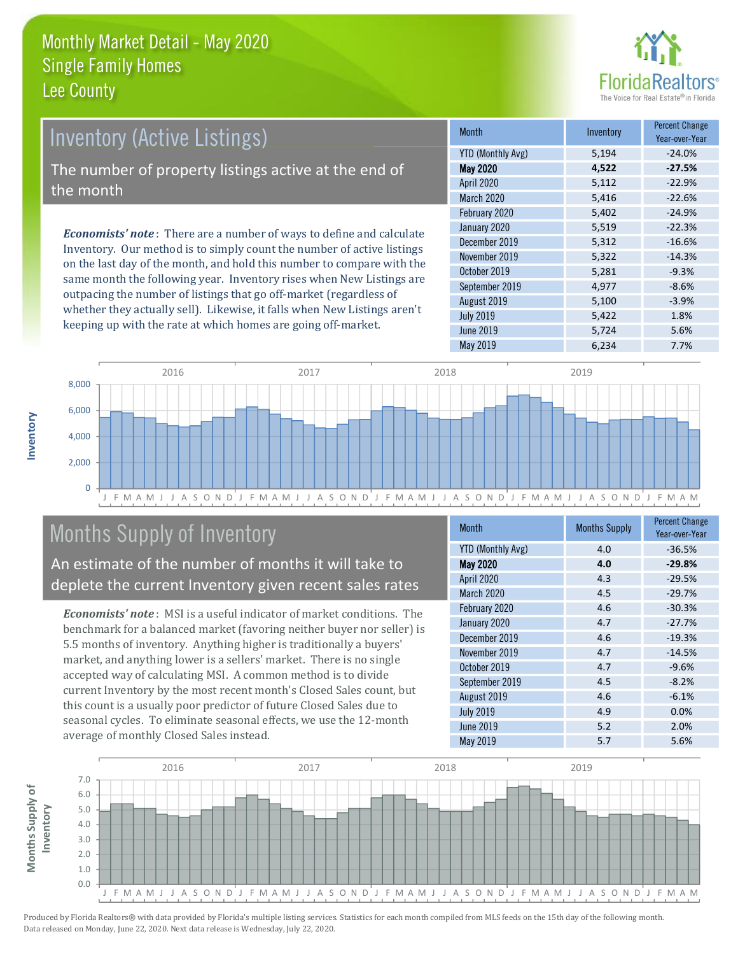

# **Inventory (Active Listings)**

The number of property listings active at the end of the month

**Economists' note:** There are a number of ways to define and calculate Inventory. Our method is to simply count the number of active listings on the last day of the month, and hold this number to compare with the same month the following year. Inventory rises when New Listings are outpacing the number of listings that go off-market (regardless of whether they actually sell). Likewise, it falls when New Listings aren't keeping up with the rate at which homes are going off-market.

| <b>Month</b>             | Inventory | <b>Percent Change</b><br>Year-over-Year |
|--------------------------|-----------|-----------------------------------------|
| <b>YTD (Monthly Avg)</b> | 5,194     | $-24.0%$                                |
| <b>May 2020</b>          | 4,522     | $-27.5%$                                |
| April 2020               | 5,112     | $-22.9%$                                |
| <b>March 2020</b>        | 5,416     | $-22.6%$                                |
| February 2020            | 5,402     | $-24.9%$                                |
| January 2020             | 5,519     | $-22.3%$                                |
| December 2019            | 5,312     | $-16.6%$                                |
| November 2019            | 5,322     | $-14.3%$                                |
| October 2019             | 5,281     | $-9.3%$                                 |
| September 2019           | 4,977     | $-8.6%$                                 |
| August 2019              | 5,100     | $-3.9%$                                 |
| <b>July 2019</b>         | 5,422     | 1.8%                                    |
| <b>June 2019</b>         | 5,724     | 5.6%                                    |
| <b>May 2019</b>          | 6,234     | 7.7%                                    |



## **Months Supply of Inventory**

An estimate of the number of months it will take to deplete the current Inventory given recent sales rates

**Economists' note:** MSI is a useful indicator of market conditions. The benchmark for a balanced market (favoring neither buyer nor seller) is 5.5 months of inventory. Anything higher is traditionally a buyers' market, and anything lower is a sellers' market. There is no single accepted way of calculating MSI. A common method is to divide current Inventory by the most recent month's Closed Sales count, but this count is a usually poor predictor of future Closed Sales due to seasonal cycles. To eliminate seasonal effects, we use the 12-month average of monthly Closed Sales instead.

| Month                    | <b>Months Supply</b> | <b>Percent Change</b><br>Year-over-Year |
|--------------------------|----------------------|-----------------------------------------|
| <b>YTD (Monthly Avg)</b> | 4.0                  | $-36.5%$                                |
| <b>May 2020</b>          | 4.0                  | $-29.8%$                                |
| April 2020               | 4.3                  | $-29.5%$                                |
| March 2020               | 4.5                  | $-29.7%$                                |
| February 2020            | 4.6                  | $-30.3%$                                |
| January 2020             | 4.7                  | $-27.7%$                                |
| December 2019            | 4.6                  | $-19.3%$                                |
| November 2019            | 4.7                  | $-14.5%$                                |
| October 2019             | 4.7                  | $-9.6%$                                 |
| September 2019           | 4.5                  | $-8.2%$                                 |
| August 2019              | 4.6                  | $-6.1%$                                 |
| <b>July 2019</b>         | 4.9                  | 0.0%                                    |
| <b>June 2019</b>         | 5.2                  | 2.0%                                    |
| May 2019                 | 5.7                  | 5.6%                                    |

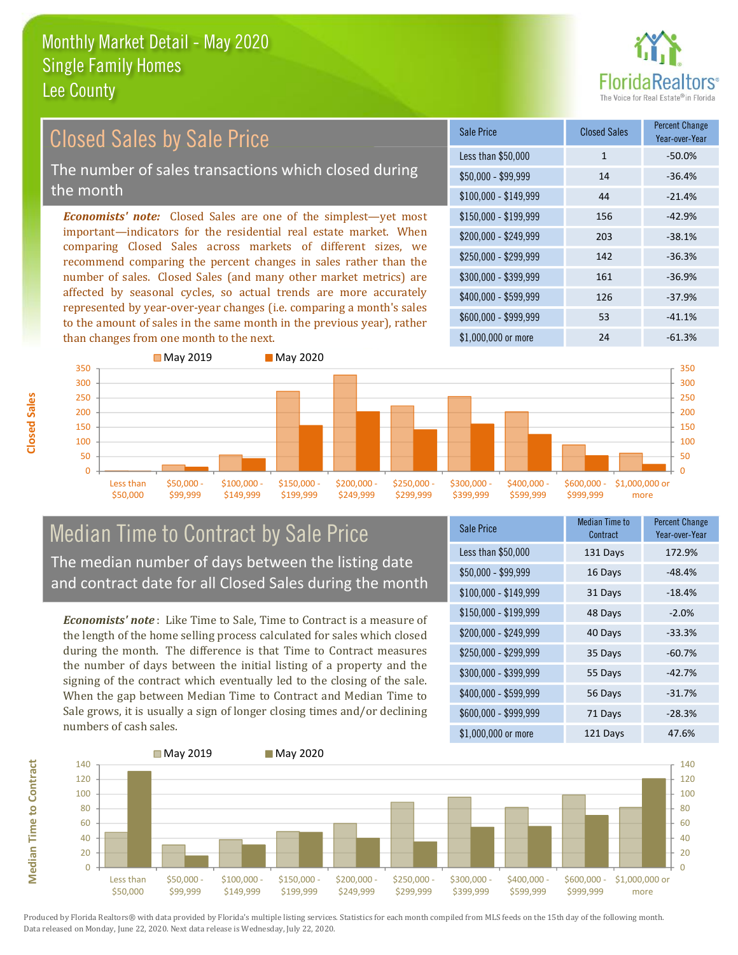

#### **Percent Change Closed Sales by Sale Price Closed Sales Sale Price** Year-over-Year Less than \$50,000  $-50.0%$  $\mathbf{1}$ The number of sales transactions which closed during  $$50.000 - $99.999$  $14$  $-36.4%$ the month 44  $-21.4%$  $$100,000 - $149,999$ **Economists' note:** Closed Sales are one of the simplest—yet most \$150,000 - \$199.999 156  $-42.9%$ important-indicators for the residential real estate market. When \$200.000 - \$249.999 203  $-38.1%$ comparing Closed Sales across markets of different sizes, we \$250,000 - \$299.999 142  $-36.3%$ recommend comparing the percent changes in sales rather than the number of sales. Closed Sales (and many other market metrics) are \$300,000 - \$399,999 161  $-36.9%$ affected by seasonal cycles, so actual trends are more accurately \$400,000 - \$599,999 126  $-37.9%$ represented by year-over-year changes (i.e. comparing a month's sales \$600.000 - \$999.999 53  $-41.1%$ to the amount of sales in the same month in the previous year), rather than changes from one month to the next. \$1,000,000 or more  $24$  $-61.3%$ ■ May 2019



#### **Median Time to Contract by Sale Price** The median number of days between the listing date and contract date for all Closed Sales during the month

**Economists' note**: Like Time to Sale. Time to Contract is a measure of the length of the home selling process calculated for sales which closed during the month. The difference is that Time to Contract measures the number of days between the initial listing of a property and the signing of the contract which eventually led to the closing of the sale. When the gap between Median Time to Contract and Median Time to Sale grows, it is usually a sign of longer closing times and/or declining numbers of cash sales.

| <b>Sale Price</b>     | Median Time to<br>Contract | <b>Percent Change</b><br>Year-over-Year |
|-----------------------|----------------------------|-----------------------------------------|
| Less than \$50,000    | 131 Days                   | 172.9%                                  |
| $$50,000 - $99,999$   | 16 Days                    | $-48.4%$                                |
| $$100,000 - $149,999$ | 31 Days                    | $-18.4%$                                |
| $$150,000 - $199,999$ | 48 Days                    | $-2.0%$                                 |
| \$200,000 - \$249,999 | 40 Days                    | $-33.3%$                                |
| \$250,000 - \$299,999 | 35 Days                    | $-60.7%$                                |
| \$300,000 - \$399,999 | 55 Days                    | $-42.7%$                                |
| \$400,000 - \$599,999 | 56 Days                    | $-31.7%$                                |
| \$600,000 - \$999,999 | 71 Days                    | $-28.3%$                                |
| \$1,000,000 or more   | 121 Davs                   | 47.6%                                   |



Produced by Florida Realtors® with data provided by Florida's multiple listing services. Statistics for each month compiled from MLS feeds on the 15th day of the following month. Data released on Monday, June 22, 2020. Next data release is Wednesday, July 22, 2020.

**Median Time to Contract**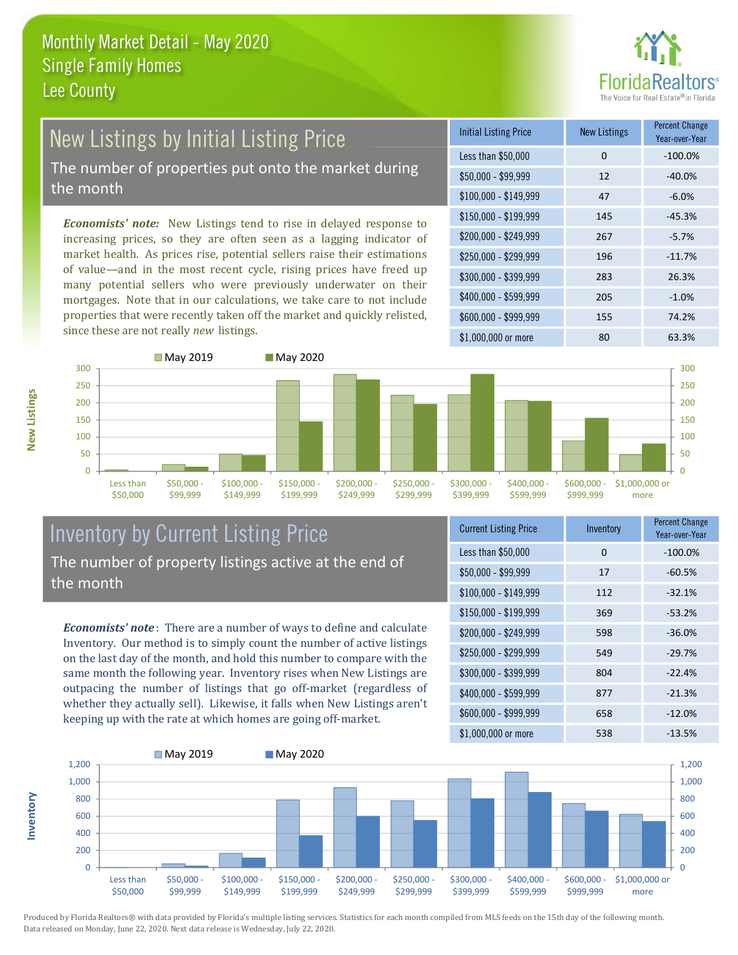

## **New Listings by Initial Listing Price** The number of properties put onto the market during

the month

Economists' note: New Listings tend to rise in delayed response to increasing prices, so they are often seen as a lagging indicator of market health. As prices rise, potential sellers raise their estimations of value—and in the most recent cycle, rising prices have freed up many potential sellers who were previously underwater on their mortgages. Note that in our calculations, we take care to not include properties that were recently taken off the market and quickly relisted, since these are not really new listings.

| <b>Initial Listing Price</b> | <b>New Listings</b> | <b>Percent Change</b><br>Year-over-Year |
|------------------------------|---------------------|-----------------------------------------|
| Less than \$50,000           | 0                   | $-100.0%$                               |
| $$50,000 - $99,999$          | 12                  | $-40.0%$                                |
| $$100,000 - $149,999$        | 47                  | $-6.0%$                                 |
| \$150,000 - \$199,999        | 145                 | $-45.3%$                                |
| \$200,000 - \$249,999        | 267                 | $-5.7%$                                 |
| \$250,000 - \$299,999        | 196                 | $-11.7%$                                |
| \$300,000 - \$399,999        | 283                 | 26.3%                                   |
| \$400,000 - \$599,999        | 205                 | $-1.0%$                                 |
| \$600,000 - \$999,999        | 155                 | 74.2%                                   |
| $$1.000.000$ or more         | 80                  | 63.3%                                   |



#### **Inventory by Current Listing Price** The number of property listings active at the end of the month

**Economists' note**: There are a number of ways to define and calculate Inventory. Our method is to simply count the number of active listings on the last day of the month, and hold this number to compare with the same month the following year. Inventory rises when New Listings are outpacing the number of listings that go off-market (regardless of whether they actually sell). Likewise, it falls when New Listings aren't keeping up with the rate at which homes are going off-market.

| <b>Current Listing Price</b> | Inventory | Percent Unange<br>Year-over-Year |
|------------------------------|-----------|----------------------------------|
| Less than \$50,000           | 0         | $-100.0%$                        |
| $$50,000 - $99,999$          | 17        | $-60.5%$                         |
| $$100,000 - $149,999$        | 112       | $-32.1%$                         |
| \$150,000 - \$199,999        | 369       | $-53.2%$                         |
| \$200,000 - \$249,999        | 598       | $-36.0%$                         |
| \$250,000 - \$299,999        | 549       | $-29.7%$                         |
| \$300,000 - \$399,999        | 804       | $-22.4%$                         |
| \$400,000 - \$599,999        | 877       | $-21.3%$                         |
| \$600,000 - \$999,999        | 658       | $-12.0%$                         |
| $$1$ 000 000 or more         | 528       | .12 50.                          |



Produced by Florida Realtors® with data provided by Florida's multiple listing services. Statistics for each month compiled from MLS feeds on the 15th day of the following month. Data released on Monday, June 22, 2020. Next data release is Wednesday, July 22, 2020.

nventory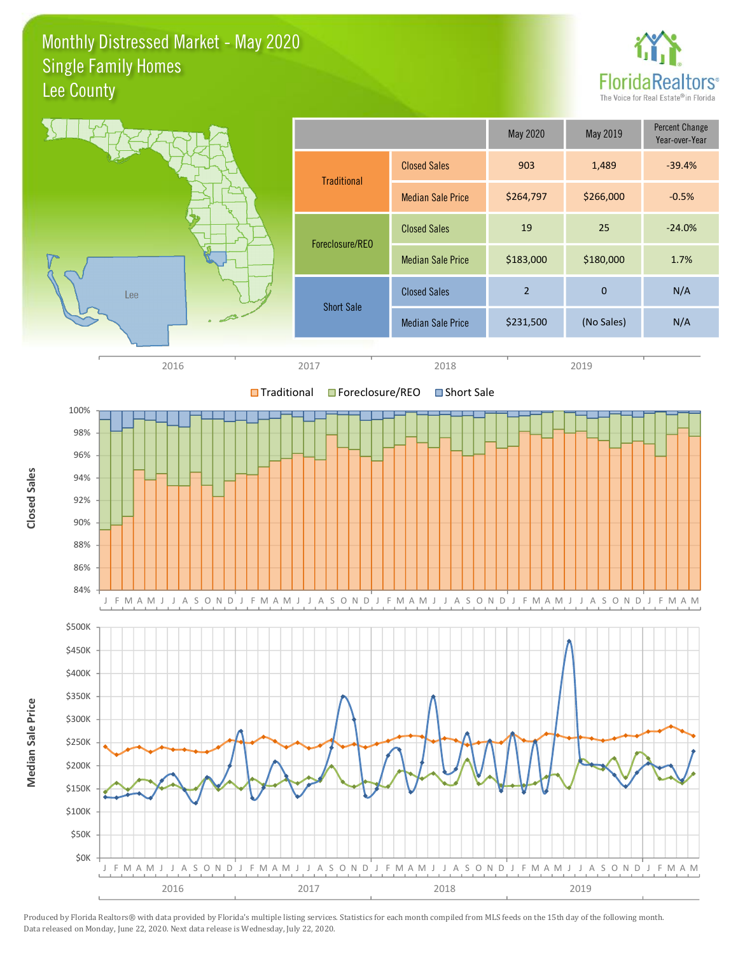Monthly Distressed Market - May 2020 **Single Family Homes** Lee County



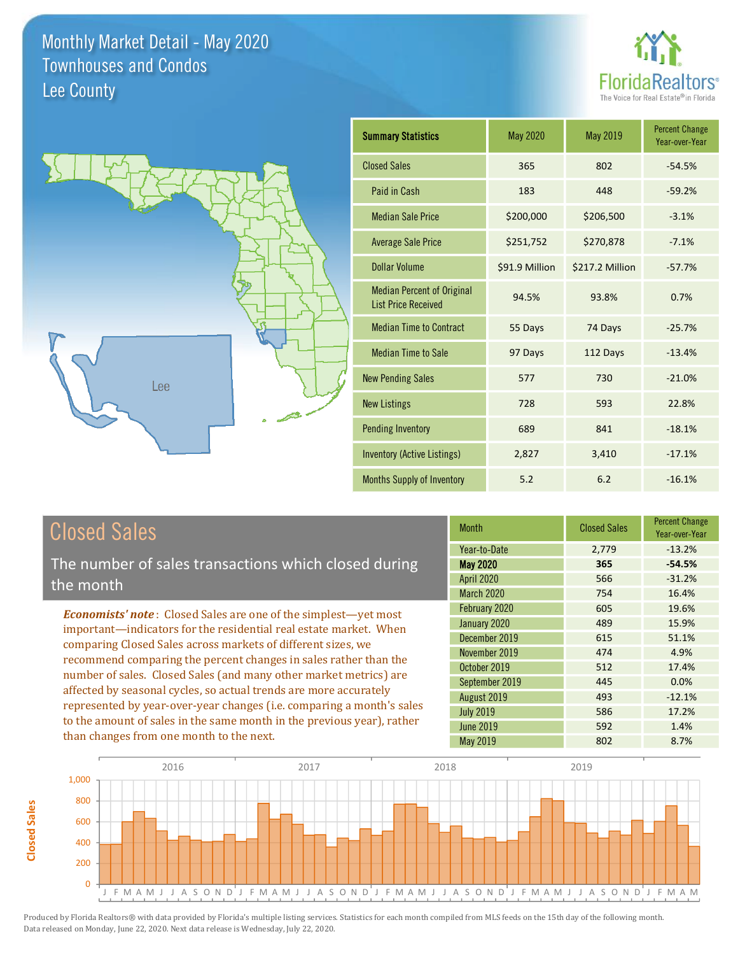



| <b>Summary Statistics</b>                                       | May 2020       | May 2019        | <b>Percent Change</b><br>Year-over-Year |
|-----------------------------------------------------------------|----------------|-----------------|-----------------------------------------|
| <b>Closed Sales</b>                                             | 365            | 802             | $-54.5%$                                |
| Paid in Cash                                                    | 183            | 448             | $-59.2%$                                |
| <b>Median Sale Price</b>                                        | \$200,000      | \$206,500       | $-3.1%$                                 |
| <b>Average Sale Price</b>                                       | \$251,752      | \$270,878       | $-7.1%$                                 |
| <b>Dollar Volume</b>                                            | \$91.9 Million | \$217.2 Million | $-57.7%$                                |
| <b>Median Percent of Original</b><br><b>List Price Received</b> | 94.5%          | 93.8%           | 0.7%                                    |
| <b>Median Time to Contract</b>                                  | 55 Days        | 74 Days         | $-25.7%$                                |
| <b>Median Time to Sale</b>                                      | 97 Days        | 112 Days        | $-13.4%$                                |
| <b>New Pending Sales</b>                                        | 577            | 730             | $-21.0%$                                |
| <b>New Listings</b>                                             | 728            | 593             | 22.8%                                   |
| <b>Pending Inventory</b>                                        | 689            | 841             | $-18.1%$                                |
| <b>Inventory (Active Listings)</b>                              | 2,827          | 3,410           | $-17.1%$                                |
| <b>Months Supply of Inventory</b>                               | 5.2            | 6.2             | $-16.1%$                                |

## **Closed Sales**

The number of sales transactions which closed during the month

**Economists' note:** Closed Sales are one of the simplest-yet most important-indicators for the residential real estate market. When comparing Closed Sales across markets of different sizes, we recommend comparing the percent changes in sales rather than the number of sales. Closed Sales (and many other market metrics) are affected by seasonal cycles, so actual trends are more accurately represented by year-over-year changes (i.e. comparing a month's sales to the amount of sales in the same month in the previous year), rather than changes from one month to the next.

| <b>Month</b>      | <b>Closed Sales</b> | Percent Change<br>Year-over-Year |
|-------------------|---------------------|----------------------------------|
| Year-to-Date      | 2,779               | $-13.2%$                         |
| <b>May 2020</b>   | 365                 | $-54.5%$                         |
| <b>April 2020</b> | 566                 | $-31.2%$                         |
| <b>March 2020</b> | 754                 | 16.4%                            |
| February 2020     | 605                 | 19.6%                            |
| January 2020      | 489                 | 15.9%                            |
| December 2019     | 615                 | 51.1%                            |
| November 2019     | 474                 | 4.9%                             |
| October 2019      | 512                 | 17.4%                            |
| September 2019    | 445                 | 0.0%                             |
| August 2019       | 493                 | $-12.1%$                         |
| <b>July 2019</b>  | 586                 | 17.2%                            |
| <b>June 2019</b>  | 592                 | 1.4%                             |
| <b>May 2019</b>   | 802                 | 8.7%                             |

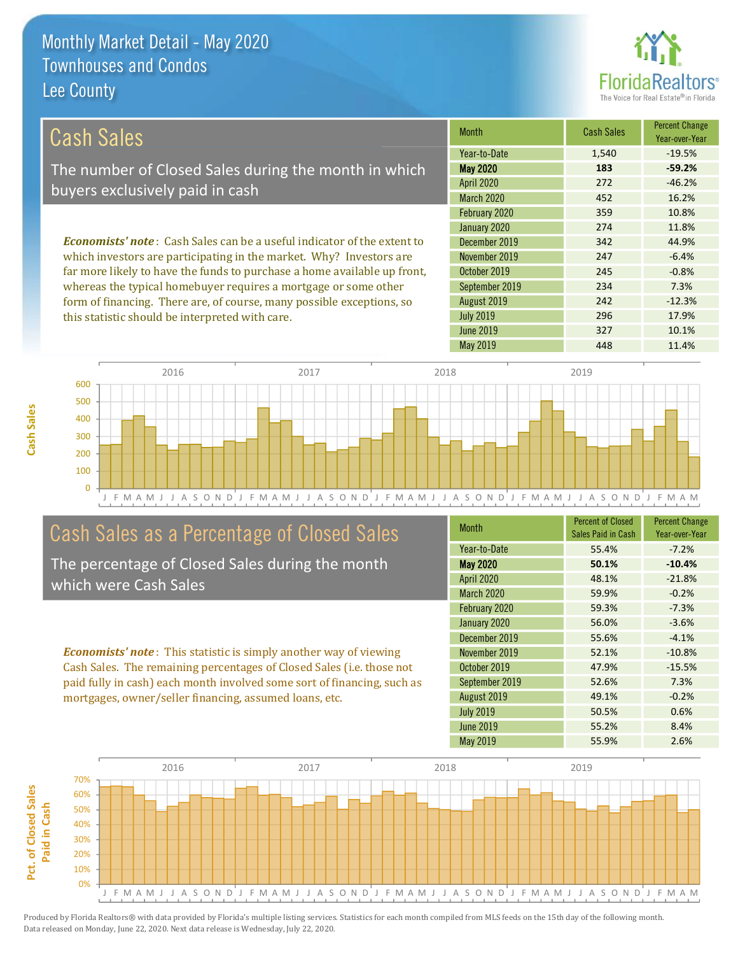

| Cash Sales                                                                     | <b>Month</b>      | <b>Cash Sales</b> | <b>Percent Change</b><br>Year-over-Year |
|--------------------------------------------------------------------------------|-------------------|-------------------|-----------------------------------------|
|                                                                                | Year-to-Date      | 1,540             | $-19.5%$                                |
| The number of Closed Sales during the month in which                           | <b>May 2020</b>   | 183               | $-59.2%$                                |
| buyers exclusively paid in cash                                                | <b>April 2020</b> | 272               | $-46.2%$                                |
|                                                                                | <b>March 2020</b> | 452               | 16.2%                                   |
|                                                                                | February 2020     | 359               | 10.8%                                   |
|                                                                                | January 2020      | 274               | 11.8%                                   |
| <b>Economists' note:</b> Cash Sales can be a useful indicator of the extent to | December 2019     | 342               | 44.9%                                   |
| which investors are participating in the market. Why? Investors are            | November 2019     | 247               | $-6.4%$                                 |
| far more likely to have the funds to purchase a home available up front,       | October 2019      | 245               | $-0.8%$                                 |

whereas the typical homebuyer requires a mortgage or some other form of financing. There are, of course, many possible exceptions, so this statistic should be interpreted with care.

| Month                | Cash Sales               | Year-over-Year |
|----------------------|--------------------------|----------------|
| Year-to-Date         | 1,540                    | $-19.5%$       |
| <b>May 2020</b>      | 183                      | $-59.2%$       |
| <b>April 2020</b>    | 272                      | $-46.2%$       |
| March 2020           | 452                      | 16.2%          |
| February 2020        | 359                      | 10.8%          |
| January 2020         | 274                      | 11.8%          |
| December 2019        | 342                      | 44.9%          |
| November 2019        | 247                      | $-6.4%$        |
| October 2019         | 245                      | $-0.8%$        |
| September 2019       | 234                      | 7.3%           |
| August 2019          | 242                      | $-12.3%$       |
| <b>July 2019</b>     | 296                      | 17.9%          |
| <b>June 2019</b>     | 327                      | 10.1%          |
| M <sub>2V</sub> 2010 | $\Lambda$ <sub>A</sub> Q | $11M\%$        |



## Cash Sales as a Percentage of Closed Sales

The percentage of Closed Sales during the month which were Cash Sales

**Economists' note:** This statistic is simply another way of viewing Cash Sales. The remaining percentages of Closed Sales (i.e. those not paid fully in cash) each month involved some sort of financing, such as mortgages, owner/seller financing, assumed loans, etc.

| <b>Month</b>      | <b>Percent of Closed</b><br>Sales Paid in Cash | <b>Percent Change</b><br>Year-over-Year |
|-------------------|------------------------------------------------|-----------------------------------------|
| Year-to-Date      | 55.4%                                          | $-7.2%$                                 |
| <b>May 2020</b>   | 50.1%                                          | $-10.4%$                                |
| <b>April 2020</b> | 48.1%                                          | $-21.8%$                                |
| <b>March 2020</b> | 59.9%                                          | $-0.2%$                                 |
| February 2020     | 59.3%                                          | $-7.3%$                                 |
| January 2020      | 56.0%                                          | $-3.6%$                                 |
| December 2019     | 55.6%                                          | $-4.1%$                                 |
| November 2019     | 52.1%                                          | $-10.8%$                                |
| October 2019      | 47.9%                                          | $-15.5%$                                |
| September 2019    | 52.6%                                          | 7.3%                                    |
| August 2019       | 49.1%                                          | $-0.2%$                                 |
| <b>July 2019</b>  | 50.5%                                          | 0.6%                                    |
| June 2019         | 55.2%                                          | 8.4%                                    |
| May 2019          | 55.9%                                          | 2.6%                                    |

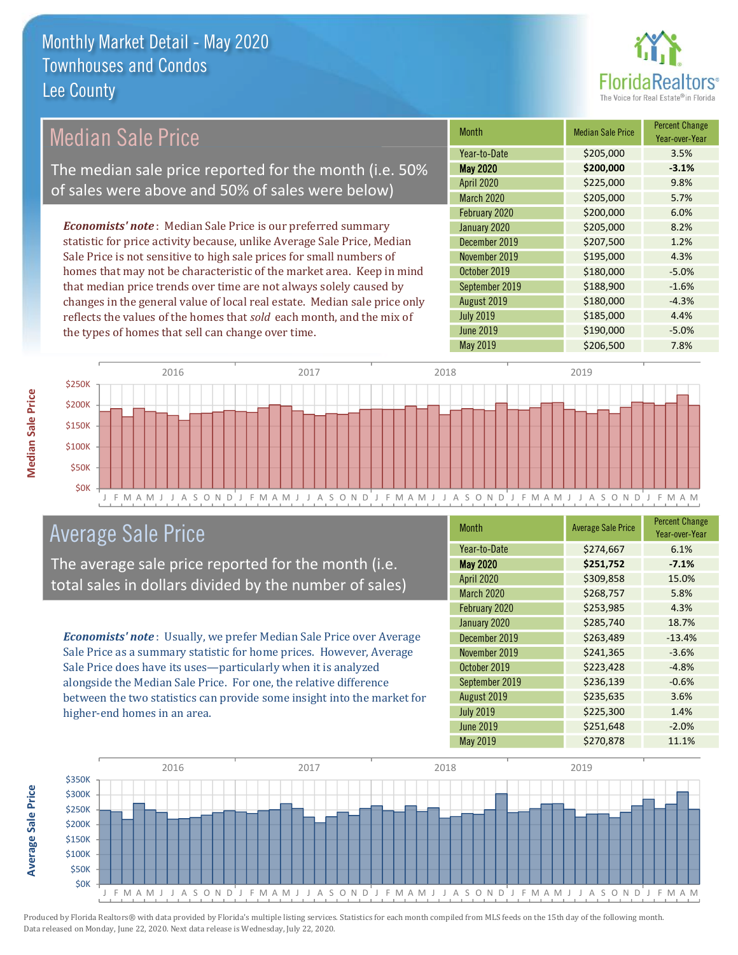

## **Median Sale Price**

The median sale price reported for the month (i.e. 50% of sales were above and 50% of sales were below)

**Economists' note**: Median Sale Price is our preferred summary statistic for price activity because, unlike Average Sale Price, Median Sale Price is not sensitive to high sale prices for small numbers of homes that may not be characteristic of the market area. Keep in mind that median price trends over time are not always solely caused by changes in the general value of local real estate. Median sale price only reflects the values of the homes that sold each month, and the mix of the types of homes that sell can change over time.

| <b>Month</b>      | <b>Median Sale Price</b> | <b>Percent Change</b><br>Year-over-Year |
|-------------------|--------------------------|-----------------------------------------|
| Year-to-Date      | \$205,000                | 3.5%                                    |
| <b>May 2020</b>   | \$200,000                | $-3.1%$                                 |
| <b>April 2020</b> | \$225,000                | 9.8%                                    |
| March 2020        | \$205,000                | 5.7%                                    |
| February 2020     | \$200,000                | 6.0%                                    |
| January 2020      | \$205,000                | 8.2%                                    |
| December 2019     | \$207,500                | 1.2%                                    |
| November 2019     | \$195,000                | 4.3%                                    |
| October 2019      | \$180,000                | $-5.0%$                                 |
| September 2019    | \$188,900                | $-1.6%$                                 |
| August 2019       | \$180,000                | $-4.3%$                                 |
| <b>July 2019</b>  | \$185,000                | 4.4%                                    |
| <b>June 2019</b>  | \$190,000                | $-5.0%$                                 |
| <b>May 2019</b>   | \$206,500                | 7.8%                                    |



## **Average Sale Price**

The average sale price reported for the month (i.e. total sales in dollars divided by the number of sales)

Economists' note: Usually, we prefer Median Sale Price over Average Sale Price as a summary statistic for home prices. However, Average Sale Price does have its uses-particularly when it is analyzed alongside the Median Sale Price. For one, the relative difference between the two statistics can provide some insight into the market for higher-end homes in an area.

| <b>Month</b>      | <b>Average Sale Price</b> | <b>Percent Change</b><br>Year-over-Year |
|-------------------|---------------------------|-----------------------------------------|
| Year-to-Date      | \$274,667                 | 6.1%                                    |
| <b>May 2020</b>   | \$251,752                 | $-7.1%$                                 |
| <b>April 2020</b> | \$309,858                 | 15.0%                                   |
| March 2020        | \$268,757                 | 5.8%                                    |
| February 2020     | \$253,985                 | 4.3%                                    |
| January 2020      | \$285,740                 | 18.7%                                   |
| December 2019     | \$263,489                 | $-13.4%$                                |
| November 2019     | \$241,365                 | $-3.6%$                                 |
| October 2019      | \$223,428                 | $-4.8%$                                 |
| September 2019    | \$236,139                 | $-0.6%$                                 |
| August 2019       | \$235,635                 | 3.6%                                    |
| <b>July 2019</b>  | \$225,300                 | 1.4%                                    |
| <b>June 2019</b>  | \$251,648                 | $-2.0%$                                 |
| <b>May 2019</b>   | \$270,878                 | 11.1%                                   |



**Average Sale Price** 

**Median Sale Price**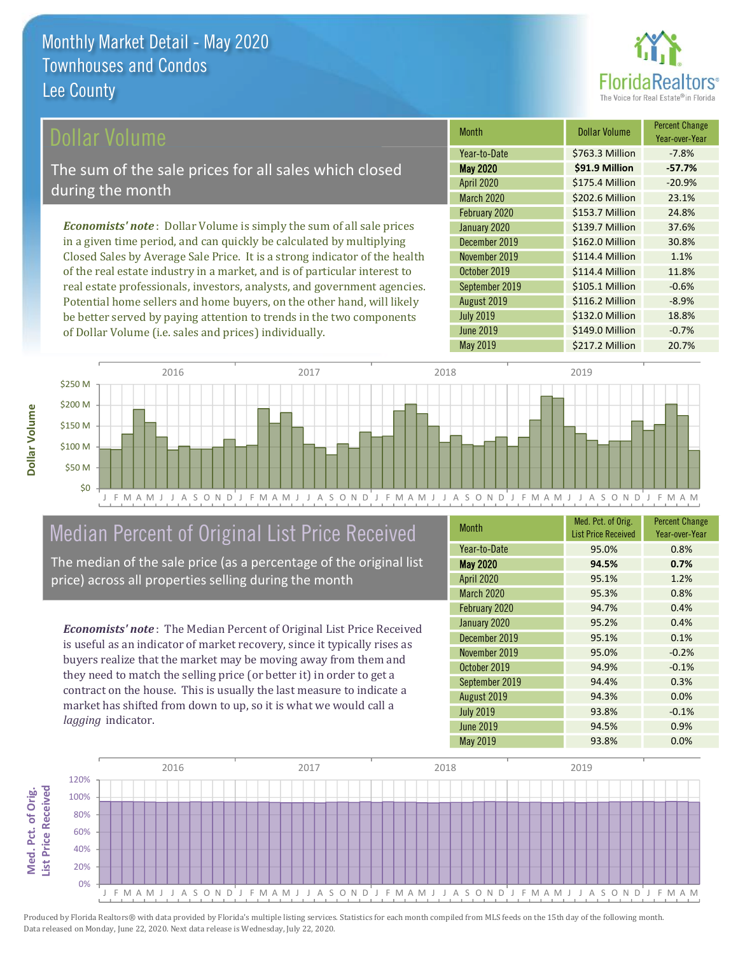

### ollar Volume

The sum of the sale prices for all sales which closed during the month

**Economists' note**: Dollar Volume is simply the sum of all sale prices in a given time period, and can quickly be calculated by multiplying Closed Sales by Average Sale Price. It is a strong indicator of the health of the real estate industry in a market, and is of particular interest to real estate professionals, investors, analysts, and government agencies. Potential home sellers and home buyers, on the other hand, will likely be better served by paying attention to trends in the two components of Dollar Volume (i.e. sales and prices) individually.

| <b>Month</b>      | Dollar Volume   | <b>Percent Change</b><br>Year-over-Year |
|-------------------|-----------------|-----------------------------------------|
| Year-to-Date      | \$763.3 Million | $-7.8%$                                 |
| <b>May 2020</b>   | \$91.9 Million  | $-57.7%$                                |
| <b>April 2020</b> | \$175.4 Million | $-20.9%$                                |
| March 2020        | \$202.6 Million | 23.1%                                   |
| February 2020     | \$153.7 Million | 24.8%                                   |
| January 2020      | \$139.7 Million | 37.6%                                   |
| December 2019     | \$162.0 Million | 30.8%                                   |
| November 2019     | \$114.4 Million | 1.1%                                    |
| October 2019      | \$114.4 Million | 11.8%                                   |
| September 2019    | \$105.1 Million | $-0.6%$                                 |
| August 2019       | \$116.2 Million | $-8.9%$                                 |
| <b>July 2019</b>  | \$132.0 Million | 18.8%                                   |
| <b>June 2019</b>  | \$149.0 Million | $-0.7%$                                 |
| May 2019          | \$217.2 Million | 20.7%                                   |



# Median Percent of Original List Price Received

The median of the sale price (as a percentage of the original list price) across all properties selling during the month

**Economists' note:** The Median Percent of Original List Price Received is useful as an indicator of market recovery, since it typically rises as buyers realize that the market may be moving away from them and they need to match the selling price (or better it) in order to get a contract on the house. This is usually the last measure to indicate a market has shifted from down to up, so it is what we would call a lagging indicator.

| <b>Month</b>      | Med. Pct. of Orig.<br><b>List Price Received</b> | <b>Percent Change</b><br>Year-over-Year |
|-------------------|--------------------------------------------------|-----------------------------------------|
| Year-to-Date      | 95.0%                                            | 0.8%                                    |
| <b>May 2020</b>   | 94.5%                                            | 0.7%                                    |
| <b>April 2020</b> | 95.1%                                            | 1.2%                                    |
| <b>March 2020</b> | 95.3%                                            | 0.8%                                    |
| February 2020     | 94.7%                                            | 0.4%                                    |
| January 2020      | 95.2%                                            | 0.4%                                    |
| December 2019     | 95.1%                                            | 0.1%                                    |
| November 2019     | 95.0%                                            | $-0.2%$                                 |
| October 2019      | 94.9%                                            | $-0.1%$                                 |
| September 2019    | 94.4%                                            | 0.3%                                    |
| August 2019       | 94.3%                                            | 0.0%                                    |
| <b>July 2019</b>  | 93.8%                                            | $-0.1%$                                 |
| <b>June 2019</b>  | 94.5%                                            | 0.9%                                    |
| May 2019          | 93.8%                                            | 0.0%                                    |

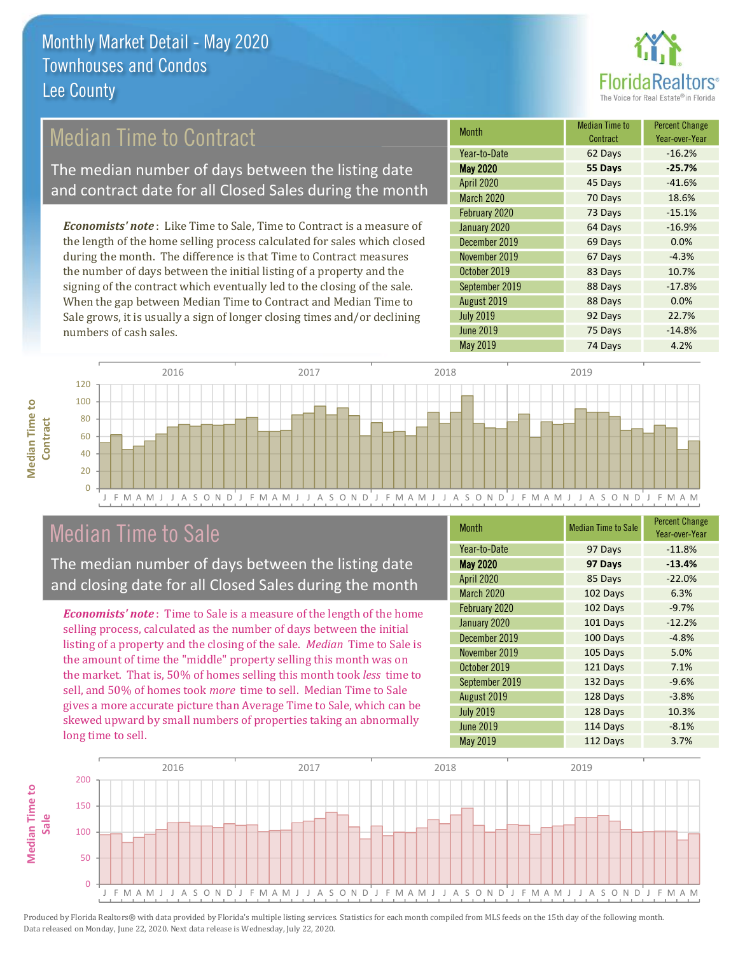

## **Median Time to Contract**

The median number of days between the listing date and contract date for all Closed Sales during the month

**Economists' note**: Like Time to Sale, Time to Contract is a measure of the length of the home selling process calculated for sales which closed during the month. The difference is that Time to Contract measures the number of days between the initial listing of a property and the signing of the contract which eventually led to the closing of the sale. When the gap between Median Time to Contract and Median Time to Sale grows, it is usually a sign of longer closing times and/or declining numbers of cash sales.

| Month             | <b>Median Time to</b><br>Contract | <b>Percent Change</b><br>Year-over-Year |
|-------------------|-----------------------------------|-----------------------------------------|
| Year-to-Date      | 62 Days                           | $-16.2%$                                |
| <b>May 2020</b>   | 55 Days                           | $-25.7%$                                |
| <b>April 2020</b> | 45 Days                           | $-41.6%$                                |
| March 2020        | 70 Days                           | 18.6%                                   |
| February 2020     | 73 Days                           | $-15.1%$                                |
| January 2020      | 64 Days                           | $-16.9%$                                |
| December 2019     | 69 Days                           | 0.0%                                    |
| November 2019     | 67 Days                           | $-4.3%$                                 |
| October 2019      | 83 Days                           | 10.7%                                   |
| September 2019    | 88 Days                           | $-17.8%$                                |
| August 2019       | 88 Days                           | 0.0%                                    |
| <b>July 2019</b>  | 92 Days                           | 22.7%                                   |
| <b>June 2019</b>  | 75 Days                           | $-14.8%$                                |
| May 2019          | 74 Days                           | 4.2%                                    |



## **Median Time to Sale**

**Median Time to** 

Contract

The median number of days between the listing date and closing date for all Closed Sales during the month

**Economists' note**: Time to Sale is a measure of the length of the home selling process, calculated as the number of days between the initial listing of a property and the closing of the sale. Median Time to Sale is the amount of time the "middle" property selling this month was on the market. That is, 50% of homes selling this month took less time to sell, and 50% of homes took *more* time to sell. Median Time to Sale gives a more accurate picture than Average Time to Sale, which can be skewed upward by small numbers of properties taking an abnormally long time to sell.

| <b>Month</b>      | <b>Median Time to Sale</b> | <b>Percent Change</b><br>Year-over-Year |
|-------------------|----------------------------|-----------------------------------------|
| Year-to-Date      | 97 Days                    | $-11.8%$                                |
| <b>May 2020</b>   | 97 Days                    | $-13.4%$                                |
| April 2020        | 85 Days                    | $-22.0%$                                |
| <b>March 2020</b> | 102 Days                   | 6.3%                                    |
| February 2020     | 102 Days                   | $-9.7%$                                 |
| January 2020      | 101 Days                   | $-12.2%$                                |
| December 2019     | 100 Days                   | $-4.8%$                                 |
| November 2019     | 105 Days                   | 5.0%                                    |
| October 2019      | 121 Days                   | 7.1%                                    |
| September 2019    | 132 Days                   | $-9.6%$                                 |
| August 2019       | 128 Days                   | $-3.8%$                                 |
| <b>July 2019</b>  | 128 Days                   | 10.3%                                   |
| <b>June 2019</b>  | 114 Days                   | $-8.1%$                                 |
| May 2019          | 112 Days                   | 3.7%                                    |

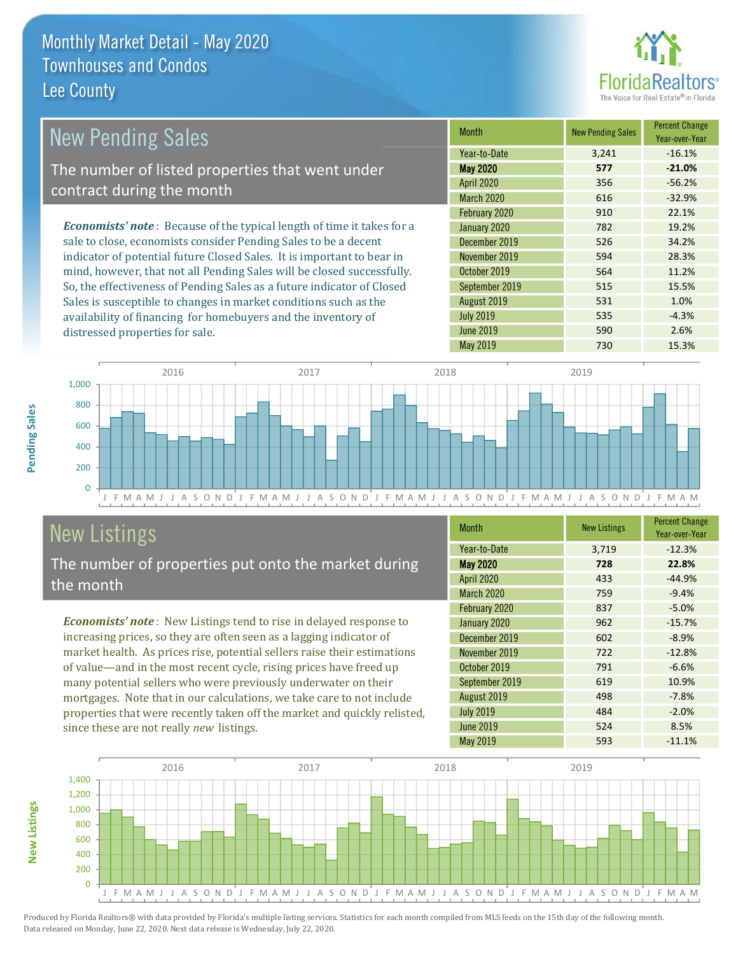distressed properties for sale.



1.0%

 $-4.3%$ 

2.6%

15.3%

| <b>New Pending Sales</b>                                                       | <b>Month</b>      | <b>New Pending Sales</b> | <b>Percent Change</b><br>Year-over-Year |
|--------------------------------------------------------------------------------|-------------------|--------------------------|-----------------------------------------|
|                                                                                | Year-to-Date      | 3.241                    | $-16.1%$                                |
| The number of listed properties that went under                                | <b>May 2020</b>   | 577                      | $-21.0%$                                |
| contract during the month                                                      | <b>April 2020</b> | 356                      | $-56.2%$                                |
|                                                                                | March 2020        | 616                      | $-32.9%$                                |
|                                                                                | February 2020     | 910                      | 22.1%                                   |
| <b>Economists' note</b> : Because of the typical length of time it takes for a | January 2020      | 782                      | 19.2%                                   |
| sale to close, economists consider Pending Sales to be a decent                | December 2019     | 526                      | 34.2%                                   |
| indicator of potential future Closed Sales. It is important to bear in         | November 2019     | 594                      | 28.3%                                   |
| mind, however, that not all Pending Sales will be closed successfully.         | October 2019      | 564                      | 11.2%                                   |
| So, the effectiveness of Pending Sales as a future indicator of Closed         | September 2019    | 515                      | 15.5%                                   |

August 2019

**July 2019** 

**June 2019** 

May 2019



# **New Listings**

The number of properties put onto the market during the month

Sales is susceptible to changes in market conditions such as the

availability of financing for homebuyers and the inventory of

Economists' note: New Listings tend to rise in delayed response to increasing prices, so they are often seen as a lagging indicator of market health. As prices rise, potential sellers raise their estimations of value—and in the most recent cycle, rising prices have freed up many potential sellers who were previously underwater on their mortgages. Note that in our calculations, we take care to not include properties that were recently taken off the market and quickly relisted, since these are not really new listings.

| <b>Month</b>      | <b>New Listings</b> | <b>Percent Change</b><br>Year-over-Year |
|-------------------|---------------------|-----------------------------------------|
| Year-to-Date      | 3,719               | $-12.3%$                                |
| <b>May 2020</b>   | 728                 | 22.8%                                   |
| <b>April 2020</b> | 433                 | $-44.9%$                                |
| <b>March 2020</b> | 759                 | $-9.4%$                                 |
| February 2020     | 837                 | $-5.0%$                                 |
| January 2020      | 962                 | $-15.7%$                                |
| December 2019     | 602                 | $-8.9%$                                 |
| November 2019     | 722                 | $-12.8%$                                |
| October 2019      | 791                 | $-6.6%$                                 |
| September 2019    | 619                 | 10.9%                                   |
| August 2019       | 498                 | $-7.8%$                                 |
| <b>July 2019</b>  | 484                 | $-2.0%$                                 |
| <b>June 2019</b>  | 524                 | 8.5%                                    |
| May 2019          | 593                 | $-11.1%$                                |

531

535

590

730



Produced by Florida Realtors® with data provided by Florida's multiple listing services. Statistics for each month compiled from MLS feeds on the 15th day of the following month. Data released on Monday, June 22, 2020. Next data release is Wednesday, July 22, 2020.

**New Listings**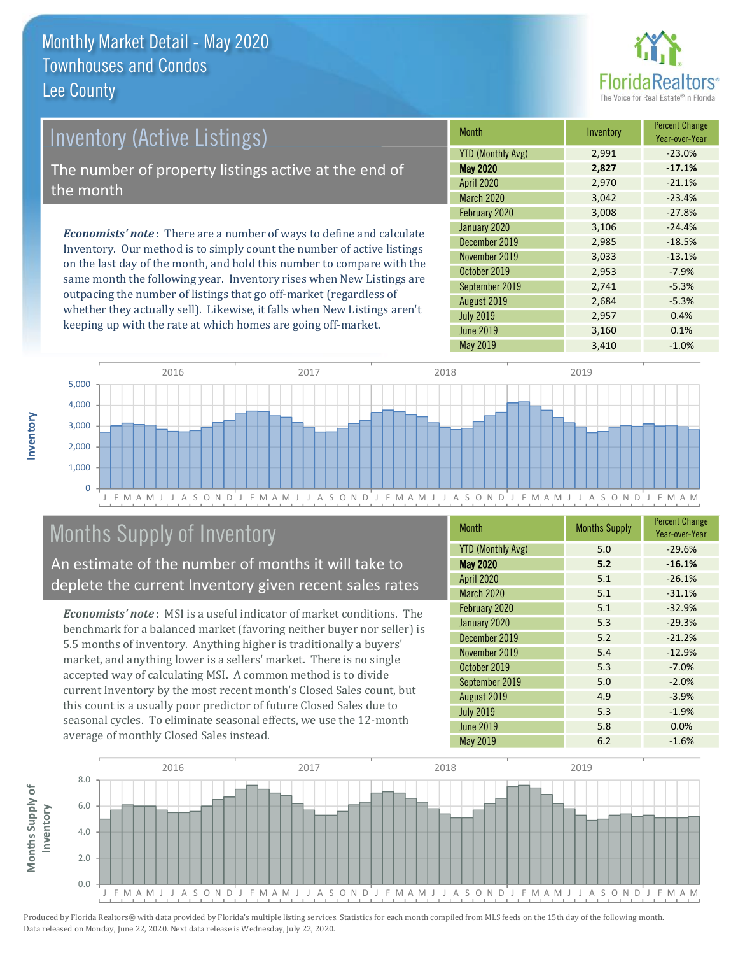

## **Inventory (Active Listings)**

The number of property listings active at the end of the month

**Economists' note:** There are a number of ways to define and calculate Inventory. Our method is to simply count the number of active listings on the last day of the month, and hold this number to compare with the same month the following year. Inventory rises when New Listings are outpacing the number of listings that go off-market (regardless of whether they actually sell). Likewise, it falls when New Listings aren't keeping up with the rate at which homes are going off-market.

| <b>Month</b>             | Inventory | <b>Percent Change</b><br>Year-over-Year |
|--------------------------|-----------|-----------------------------------------|
| <b>YTD (Monthly Avg)</b> | 2,991     | $-23.0%$                                |
| <b>May 2020</b>          | 2,827     | $-17.1%$                                |
| <b>April 2020</b>        | 2,970     | $-21.1%$                                |
| <b>March 2020</b>        | 3,042     | $-23.4%$                                |
| February 2020            | 3,008     | $-27.8%$                                |
| January 2020             | 3,106     | $-24.4%$                                |
| December 2019            | 2,985     | $-18.5%$                                |
| November 2019            | 3,033     | $-13.1%$                                |
| October 2019             | 2,953     | $-7.9%$                                 |
| September 2019           | 2,741     | $-5.3%$                                 |
| August 2019              | 2,684     | $-5.3%$                                 |
| <b>July 2019</b>         | 2,957     | 0.4%                                    |
| <b>June 2019</b>         | 3,160     | 0.1%                                    |
| May 2019                 | 3,410     | $-1.0%$                                 |



## **Months Supply of Inventory**

An estimate of the number of months it will take to deplete the current Inventory given recent sales rates

**Economists' note**: MSI is a useful indicator of market conditions. The benchmark for a balanced market (favoring neither buyer nor seller) is 5.5 months of inventory. Anything higher is traditionally a buyers' market, and anything lower is a sellers' market. There is no single accepted way of calculating MSI. A common method is to divide current Inventory by the most recent month's Closed Sales count, but this count is a usually poor predictor of future Closed Sales due to seasonal cycles. To eliminate seasonal effects, we use the 12-month average of monthly Closed Sales instead.

| <b>Month</b>             | <b>Months Supply</b> | <b>Percent Change</b><br>Year-over-Year |
|--------------------------|----------------------|-----------------------------------------|
| <b>YTD (Monthly Avg)</b> | 5.0                  | $-29.6%$                                |
| <b>May 2020</b>          | 5.2                  | $-16.1%$                                |
| April 2020               | 5.1                  | $-26.1%$                                |
| <b>March 2020</b>        | 5.1                  | $-31.1%$                                |
| February 2020            | 5.1                  | $-32.9%$                                |
| January 2020             | 5.3                  | $-29.3%$                                |
| December 2019            | 5.2                  | $-21.2%$                                |
| November 2019            | 5.4                  | $-12.9%$                                |
| October 2019             | 5.3                  | $-7.0%$                                 |
| September 2019           | 5.0                  | $-2.0%$                                 |
| August 2019              | 4.9                  | $-3.9%$                                 |
| <b>July 2019</b>         | 5.3                  | $-1.9%$                                 |
| <b>June 2019</b>         | 5.8                  | 0.0%                                    |
| <b>May 2019</b>          | 6.2                  | $-1.6%$                                 |



nventory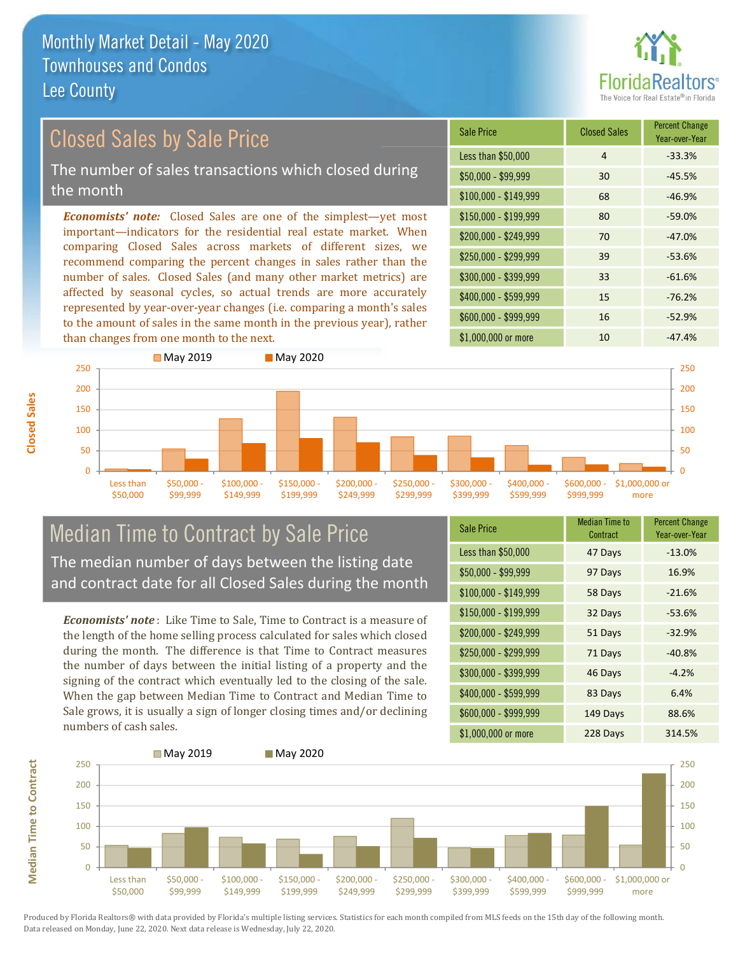

## **Closed Sales by Sale Price**

The number of sales transactions which closed during the month

**Economists' note:** Closed Sales are one of the simplest—yet most important-indicators for the residential real estate market. When comparing Closed Sales across markets of different sizes, we recommend comparing the percent changes in sales rather than the number of sales. Closed Sales (and many other market metrics) are affected by seasonal cycles, so actual trends are more accurately represented by year-over-year changes (i.e. comparing a month's sales to the amount of sales in the same month in the previous year), rather than changes from one month to the next.

| <b>Sale Price</b>     | <b>Closed Sales</b> | <b>Percent Change</b><br>Year-over-Year |
|-----------------------|---------------------|-----------------------------------------|
| Less than \$50,000    | 4                   | $-33.3%$                                |
| \$50,000 - \$99,999   | 30                  | $-45.5%$                                |
| $$100,000 - $149,999$ | 68                  | $-46.9%$                                |
| $$150,000 - $199,999$ | 80                  | $-59.0%$                                |
| \$200,000 - \$249,999 | 70                  | $-47.0%$                                |
| \$250,000 - \$299,999 | 39                  | $-53.6%$                                |
| \$300,000 - \$399,999 | 33                  | $-61.6%$                                |
| \$400,000 - \$599,999 | 15                  | $-76.2%$                                |
| \$600,000 - \$999,999 | 16                  | $-52.9%$                                |
| $$1.000.000$ or more  | 1 <sub>0</sub>      | $-47.4%$                                |



#### **Median Time to Contract by Sale Price** The median number of days between the listing date and contract date for all Closed Sales during the month

**Economists' note**: Like Time to Sale. Time to Contract is a measure of the length of the home selling process calculated for sales which closed during the month. The difference is that Time to Contract measures the number of days between the initial listing of a property and the signing of the contract which eventually led to the closing of the sale. When the gap between Median Time to Contract and Median Time to Sale grows, it is usually a sign of longer closing times and/or declining numbers of cash sales.

| <b>Sale Price</b>     | Median Time to<br>Contract | Percent Change<br>Year-over-Year |
|-----------------------|----------------------------|----------------------------------|
| Less than \$50,000    | 47 Days                    | $-13.0%$                         |
| $$50,000 - $99,999$   | 97 Days                    | 16.9%                            |
| $$100,000 - $149,999$ | 58 Days                    | $-21.6%$                         |
| $$150,000 - $199,999$ | 32 Days                    | $-53.6%$                         |
| \$200,000 - \$249,999 | 51 Days                    | $-32.9%$                         |
| \$250,000 - \$299,999 | 71 Days                    | $-40.8%$                         |
| \$300,000 - \$399,999 | 46 Days                    | $-4.2%$                          |
| $$400,000 - $599,999$ | 83 Days                    | 6.4%                             |
| \$600,000 - \$999,999 | 149 Days                   | 88.6%                            |
| $$1.000.000$ or more  | 228 Davs                   | 314 5%                           |



**Median Time to Contract** 

**Closed Sales**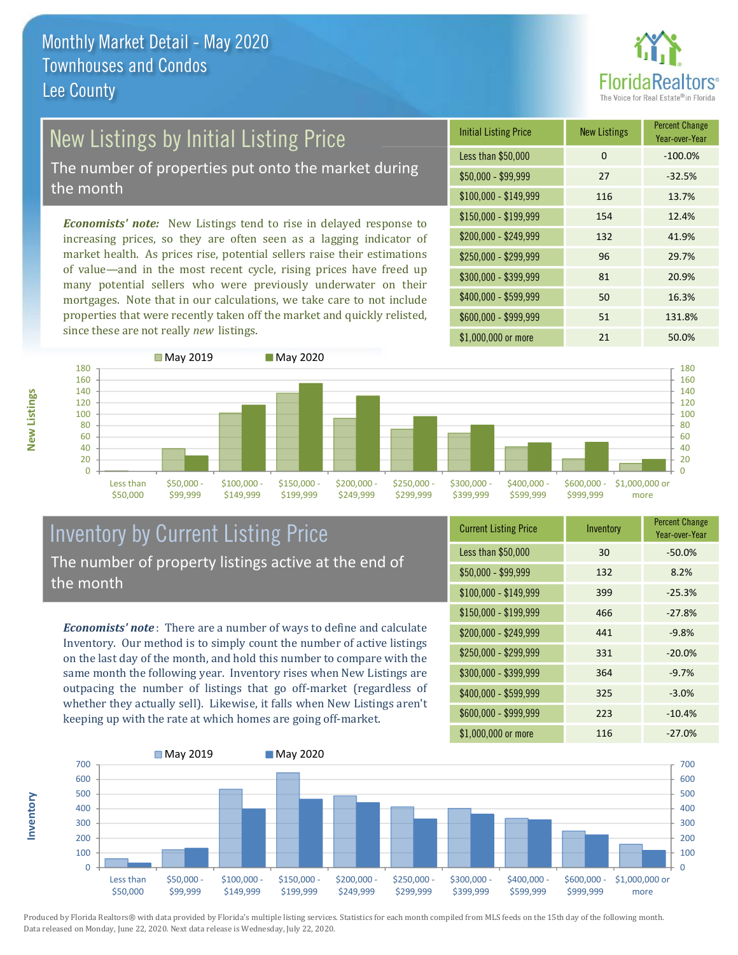

# New Listings by Initial Listing Price

The number of properties put onto the market during the month

Economists' note: New Listings tend to rise in delayed response to increasing prices, so they are often seen as a lagging indicator of market health. As prices rise, potential sellers raise their estimations of value—and in the most recent cycle, rising prices have freed up many potential sellers who were previously underwater on their mortgages. Note that in our calculations, we take care to not include properties that were recently taken off the market and quickly relisted, since these are not really new listings.





### **Inventory by Current Listing Price** The number of property listings active at the end of the month

**Economists' note**: There are a number of ways to define and calculate Inventory. Our method is to simply count the number of active listings on the last day of the month, and hold this number to compare with the same month the following year. Inventory rises when New Listings are outpacing the number of listings that go off-market (regardless of whether they actually sell). Likewise, it falls when New Listings aren't keeping up with the rate at which homes are going off-market.

| <b>Current Listing Price</b> | Inventory | <b>Percent Griange</b><br>Year-over-Year |
|------------------------------|-----------|------------------------------------------|
| Less than \$50,000           | 30        | $-50.0%$                                 |
| $$50,000 - $99,999$          | 132       | 8.2%                                     |
| $$100,000 - $149,999$        | 399       | $-25.3%$                                 |
| \$150,000 - \$199,999        | 466       | $-27.8%$                                 |
| \$200,000 - \$249,999        | 441       | $-9.8%$                                  |
| \$250,000 - \$299,999        | 331       | $-20.0%$                                 |
| \$300,000 - \$399,999        | 364       | $-9.7%$                                  |
| \$400,000 - \$599,999        | 325       | $-3.0%$                                  |
| \$600,000 - \$999,999        | 223       | $-10.4%$                                 |
| $$1.000.000$ or more         | 116       | $-27.0\%$                                |

![](_page_18_Figure_10.jpeg)

Produced by Florida Realtors® with data provided by Florida's multiple listing services. Statistics for each month compiled from MLS feeds on the 15th day of the following month. Data released on Monday, June 22, 2020. Next data release is Wednesday, July 22, 2020.

nventory